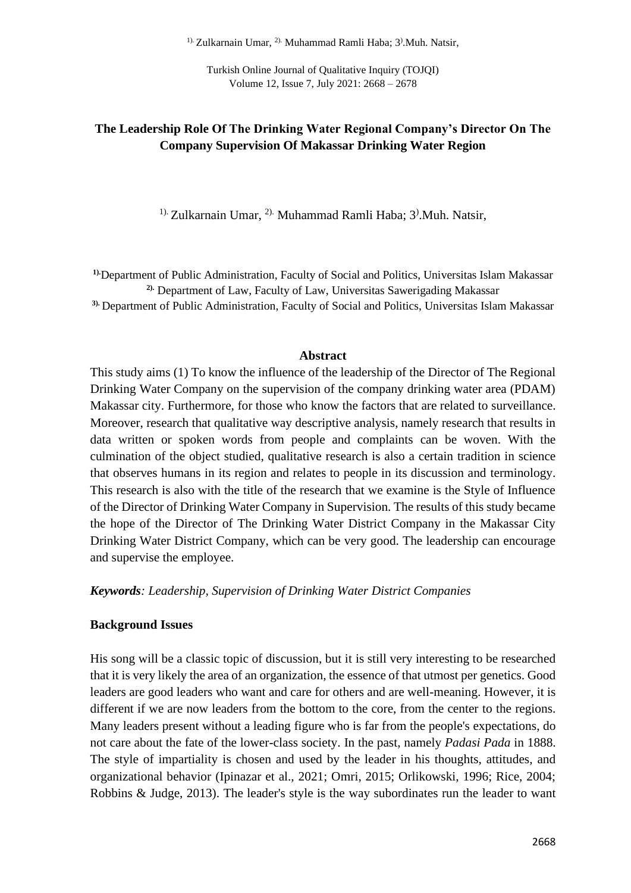<sup>1).</sup> Zulkarnain Umar, <sup>2).</sup> Muhammad Ramli Haba; 3<sup>)</sup>. Muh. Natsir,

Turkish Online Journal of Qualitative Inquiry (TOJQI) Volume 12, Issue 7, July 2021: 2668 – 2678

# **The Leadership Role Of The Drinking Water Regional Company's Director On The Company Supervision Of Makassar Drinking Water Region**

<sup>1).</sup> Zulkarnain Umar, <sup>2).</sup> Muhammad Ramli Haba; 3<sup>)</sup>. Muh. Natsir,

**1).**Department of Public Administration, Faculty of Social and Politics, Universitas Islam Makassar **2).** Department of Law, Faculty of Law, Universitas Sawerigading Makassar

**3).** Department of Public Administration, Faculty of Social and Politics, Universitas Islam Makassar

#### **Abstract**

This study aims (1) To know the influence of the leadership of the Director of The Regional Drinking Water Company on the supervision of the company drinking water area (PDAM) Makassar city. Furthermore, for those who know the factors that are related to surveillance. Moreover, research that qualitative way descriptive analysis, namely research that results in data written or spoken words from people and complaints can be woven. With the culmination of the object studied, qualitative research is also a certain tradition in science that observes humans in its region and relates to people in its discussion and terminology. This research is also with the title of the research that we examine is the Style of Influence of the Director of Drinking Water Company in Supervision. The results of this study became the hope of the Director of The Drinking Water District Company in the Makassar City Drinking Water District Company, which can be very good. The leadership can encourage and supervise the employee.

*Keywords: Leadership, Supervision of Drinking Water District Companies*

### **Background Issues**

His song will be a classic topic of discussion, but it is still very interesting to be researched that it is very likely the area of an organization, the essence of that utmost per genetics. Good leaders are good leaders who want and care for others and are well-meaning. However, it is different if we are now leaders from the bottom to the core, from the center to the regions. Many leaders present without a leading figure who is far from the people's expectations, do not care about the fate of the lower-class society. In the past, namely *Padasi Pada* in 1888. The style of impartiality is chosen and used by the leader in his thoughts, attitudes, and organizational behavior (Ipinazar et al., 2021; Omri, 2015; Orlikowski, 1996; Rice, 2004; Robbins & Judge, 2013). The leader's style is the way subordinates run the leader to want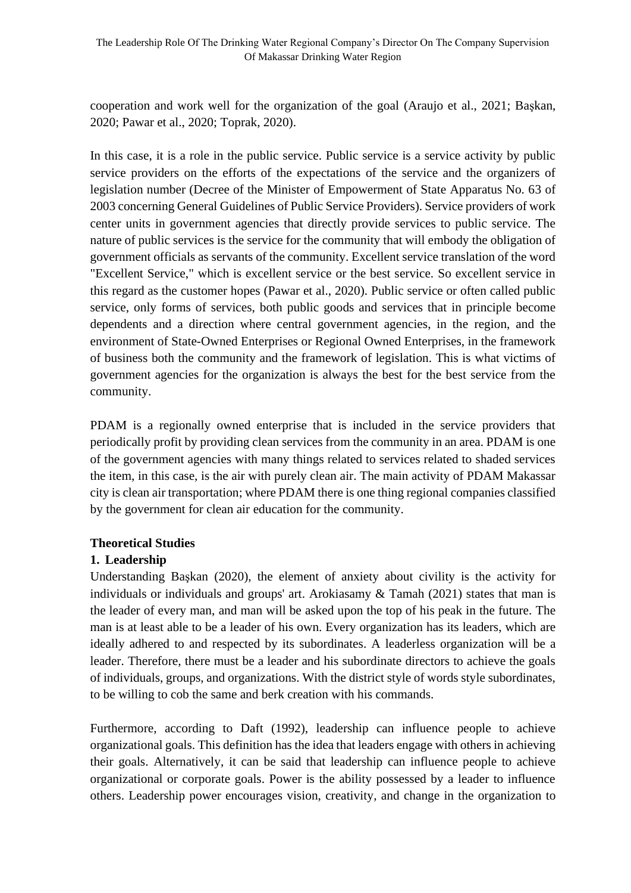cooperation and work well for the organization of the goal (Araujo et al., 2021; Başkan, 2020; Pawar et al., 2020; Toprak, 2020).

In this case, it is a role in the public service. Public service is a service activity by public service providers on the efforts of the expectations of the service and the organizers of legislation number (Decree of the Minister of Empowerment of State Apparatus No. 63 of 2003 concerning General Guidelines of Public Service Providers). Service providers of work center units in government agencies that directly provide services to public service. The nature of public services is the service for the community that will embody the obligation of government officials as servants of the community. Excellent service translation of the word "Excellent Service," which is excellent service or the best service. So excellent service in this regard as the customer hopes (Pawar et al., 2020). Public service or often called public service, only forms of services, both public goods and services that in principle become dependents and a direction where central government agencies, in the region, and the environment of State-Owned Enterprises or Regional Owned Enterprises, in the framework of business both the community and the framework of legislation. This is what victims of government agencies for the organization is always the best for the best service from the community.

PDAM is a regionally owned enterprise that is included in the service providers that periodically profit by providing clean services from the community in an area. PDAM is one of the government agencies with many things related to services related to shaded services the item, in this case, is the air with purely clean air. The main activity of PDAM Makassar city is clean air transportation; where PDAM there is one thing regional companies classified by the government for clean air education for the community.

### **Theoretical Studies**

# **1. Leadership**

Understanding Başkan (2020), the element of anxiety about civility is the activity for individuals or individuals and groups' art. Arokiasamy & Tamah (2021) states that man is the leader of every man, and man will be asked upon the top of his peak in the future. The man is at least able to be a leader of his own. Every organization has its leaders, which are ideally adhered to and respected by its subordinates. A leaderless organization will be a leader. Therefore, there must be a leader and his subordinate directors to achieve the goals of individuals, groups, and organizations. With the district style of words style subordinates, to be willing to cob the same and berk creation with his commands.

Furthermore, according to Daft (1992), leadership can influence people to achieve organizational goals. This definition has the idea that leaders engage with others in achieving their goals. Alternatively, it can be said that leadership can influence people to achieve organizational or corporate goals. Power is the ability possessed by a leader to influence others. Leadership power encourages vision, creativity, and change in the organization to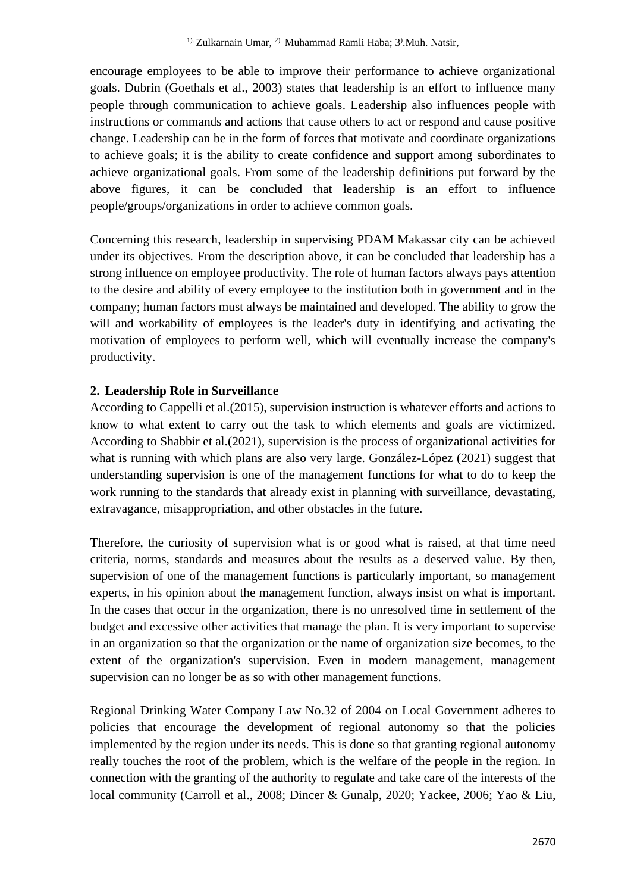encourage employees to be able to improve their performance to achieve organizational goals. Dubrin (Goethals et al., 2003) states that leadership is an effort to influence many people through communication to achieve goals. Leadership also influences people with instructions or commands and actions that cause others to act or respond and cause positive change. Leadership can be in the form of forces that motivate and coordinate organizations to achieve goals; it is the ability to create confidence and support among subordinates to achieve organizational goals. From some of the leadership definitions put forward by the above figures, it can be concluded that leadership is an effort to influence people/groups/organizations in order to achieve common goals.

Concerning this research, leadership in supervising PDAM Makassar city can be achieved under its objectives. From the description above, it can be concluded that leadership has a strong influence on employee productivity. The role of human factors always pays attention to the desire and ability of every employee to the institution both in government and in the company; human factors must always be maintained and developed. The ability to grow the will and workability of employees is the leader's duty in identifying and activating the motivation of employees to perform well, which will eventually increase the company's productivity.

### **2. Leadership Role in Surveillance**

According to Cappelli et al.(2015), supervision instruction is whatever efforts and actions to know to what extent to carry out the task to which elements and goals are victimized. According to Shabbir et al.(2021), supervision is the process of organizational activities for what is running with which plans are also very large. González-López (2021) suggest that understanding supervision is one of the management functions for what to do to keep the work running to the standards that already exist in planning with surveillance, devastating, extravagance, misappropriation, and other obstacles in the future.

Therefore, the curiosity of supervision what is or good what is raised, at that time need criteria, norms, standards and measures about the results as a deserved value. By then, supervision of one of the management functions is particularly important, so management experts, in his opinion about the management function, always insist on what is important. In the cases that occur in the organization, there is no unresolved time in settlement of the budget and excessive other activities that manage the plan. It is very important to supervise in an organization so that the organization or the name of organization size becomes, to the extent of the organization's supervision. Even in modern management, management supervision can no longer be as so with other management functions.

Regional Drinking Water Company Law No.32 of 2004 on Local Government adheres to policies that encourage the development of regional autonomy so that the policies implemented by the region under its needs. This is done so that granting regional autonomy really touches the root of the problem, which is the welfare of the people in the region. In connection with the granting of the authority to regulate and take care of the interests of the local community (Carroll et al., 2008; Dincer & Gunalp, 2020; Yackee, 2006; Yao & Liu,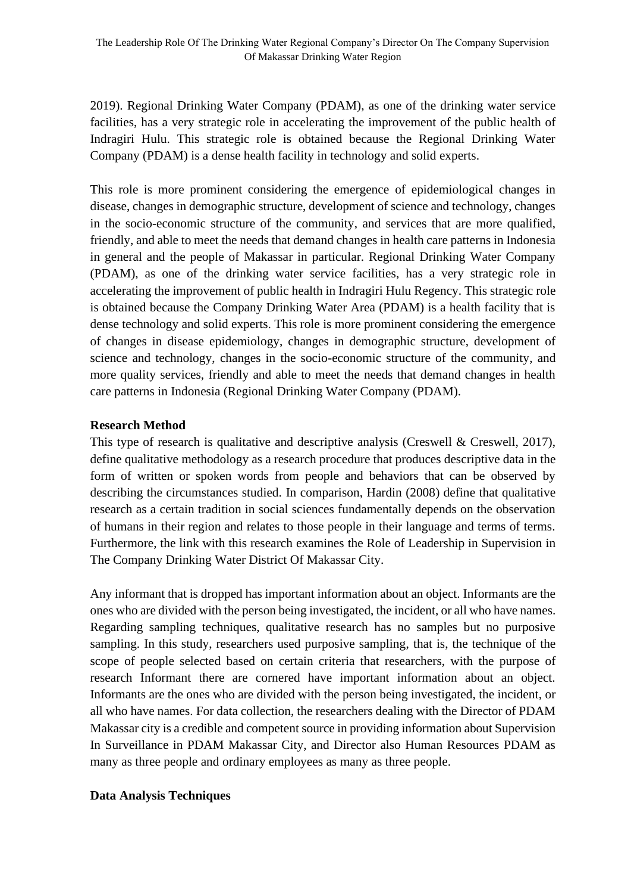2019). Regional Drinking Water Company (PDAM), as one of the drinking water service facilities, has a very strategic role in accelerating the improvement of the public health of Indragiri Hulu. This strategic role is obtained because the Regional Drinking Water Company (PDAM) is a dense health facility in technology and solid experts.

This role is more prominent considering the emergence of epidemiological changes in disease, changes in demographic structure, development of science and technology, changes in the socio-economic structure of the community, and services that are more qualified, friendly, and able to meet the needs that demand changes in health care patterns in Indonesia in general and the people of Makassar in particular. Regional Drinking Water Company (PDAM), as one of the drinking water service facilities, has a very strategic role in accelerating the improvement of public health in Indragiri Hulu Regency. This strategic role is obtained because the Company Drinking Water Area (PDAM) is a health facility that is dense technology and solid experts. This role is more prominent considering the emergence of changes in disease epidemiology, changes in demographic structure, development of science and technology, changes in the socio-economic structure of the community, and more quality services, friendly and able to meet the needs that demand changes in health care patterns in Indonesia (Regional Drinking Water Company (PDAM).

#### **Research Method**

This type of research is qualitative and descriptive analysis (Creswell & Creswell, 2017), define qualitative methodology as a research procedure that produces descriptive data in the form of written or spoken words from people and behaviors that can be observed by describing the circumstances studied. In comparison, Hardin (2008) define that qualitative research as a certain tradition in social sciences fundamentally depends on the observation of humans in their region and relates to those people in their language and terms of terms. Furthermore, the link with this research examines the Role of Leadership in Supervision in The Company Drinking Water District Of Makassar City.

Any informant that is dropped has important information about an object. Informants are the ones who are divided with the person being investigated, the incident, or all who have names. Regarding sampling techniques, qualitative research has no samples but no purposive sampling. In this study, researchers used purposive sampling, that is, the technique of the scope of people selected based on certain criteria that researchers, with the purpose of research Informant there are cornered have important information about an object. Informants are the ones who are divided with the person being investigated, the incident, or all who have names. For data collection, the researchers dealing with the Director of PDAM Makassar city is a credible and competent source in providing information about Supervision In Surveillance in PDAM Makassar City, and Director also Human Resources PDAM as many as three people and ordinary employees as many as three people.

### **Data Analysis Techniques**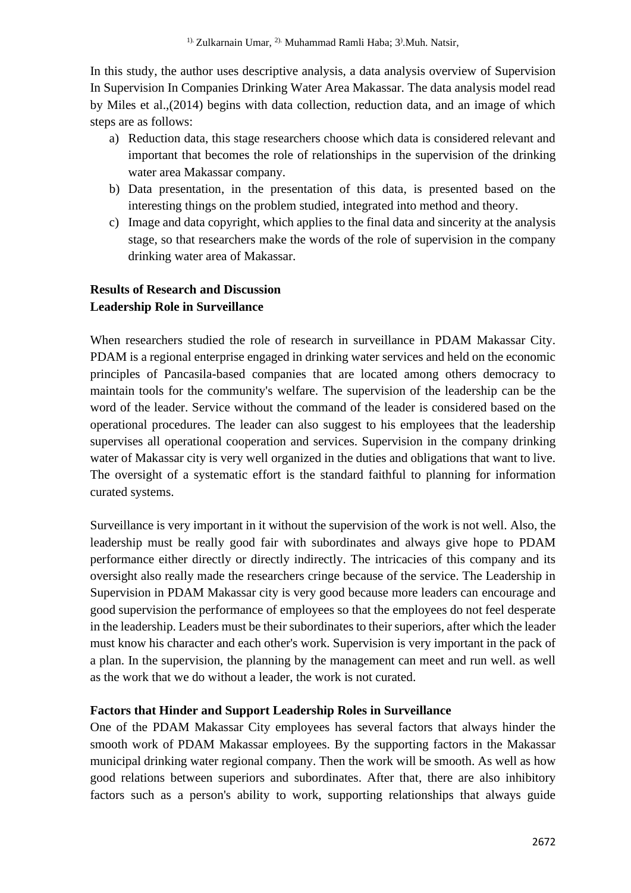In this study, the author uses descriptive analysis, a data analysis overview of Supervision In Supervision In Companies Drinking Water Area Makassar. The data analysis model read by Miles et al.,(2014) begins with data collection, reduction data, and an image of which steps are as follows:

- a) Reduction data, this stage researchers choose which data is considered relevant and important that becomes the role of relationships in the supervision of the drinking water area Makassar company.
- b) Data presentation, in the presentation of this data, is presented based on the interesting things on the problem studied, integrated into method and theory.
- c) Image and data copyright, which applies to the final data and sincerity at the analysis stage, so that researchers make the words of the role of supervision in the company drinking water area of Makassar.

# **Results of Research and Discussion Leadership Role in Surveillance**

When researchers studied the role of research in surveillance in PDAM Makassar City. PDAM is a regional enterprise engaged in drinking water services and held on the economic principles of Pancasila-based companies that are located among others democracy to maintain tools for the community's welfare. The supervision of the leadership can be the word of the leader. Service without the command of the leader is considered based on the operational procedures. The leader can also suggest to his employees that the leadership supervises all operational cooperation and services. Supervision in the company drinking water of Makassar city is very well organized in the duties and obligations that want to live. The oversight of a systematic effort is the standard faithful to planning for information curated systems.

Surveillance is very important in it without the supervision of the work is not well. Also, the leadership must be really good fair with subordinates and always give hope to PDAM performance either directly or directly indirectly. The intricacies of this company and its oversight also really made the researchers cringe because of the service. The Leadership in Supervision in PDAM Makassar city is very good because more leaders can encourage and good supervision the performance of employees so that the employees do not feel desperate in the leadership. Leaders must be their subordinates to their superiors, after which the leader must know his character and each other's work. Supervision is very important in the pack of a plan. In the supervision, the planning by the management can meet and run well. as well as the work that we do without a leader, the work is not curated.

# **Factors that Hinder and Support Leadership Roles in Surveillance**

One of the PDAM Makassar City employees has several factors that always hinder the smooth work of PDAM Makassar employees. By the supporting factors in the Makassar municipal drinking water regional company. Then the work will be smooth. As well as how good relations between superiors and subordinates. After that, there are also inhibitory factors such as a person's ability to work, supporting relationships that always guide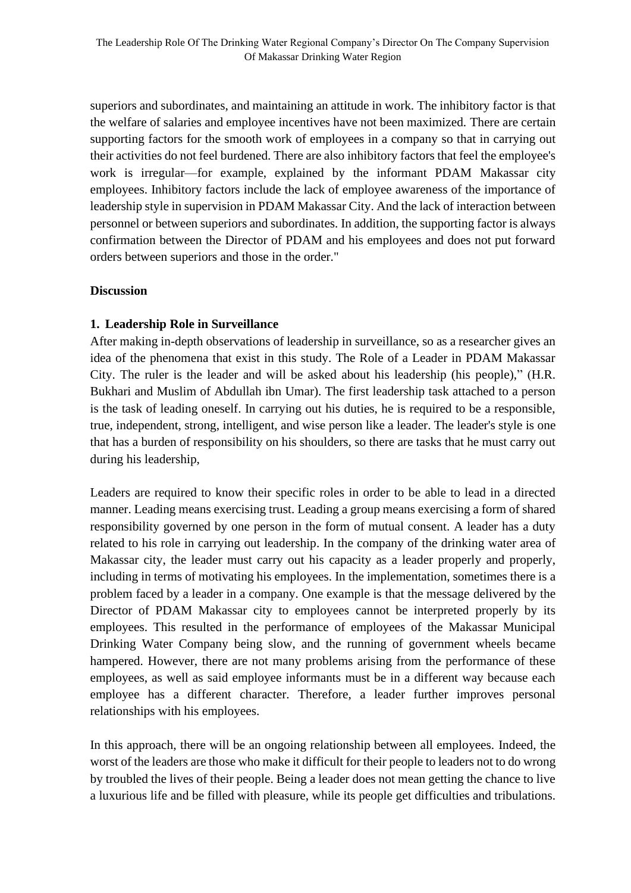superiors and subordinates, and maintaining an attitude in work. The inhibitory factor is that the welfare of salaries and employee incentives have not been maximized. There are certain supporting factors for the smooth work of employees in a company so that in carrying out their activities do not feel burdened. There are also inhibitory factors that feel the employee's work is irregular—for example, explained by the informant PDAM Makassar city employees. Inhibitory factors include the lack of employee awareness of the importance of leadership style in supervision in PDAM Makassar City. And the lack of interaction between personnel or between superiors and subordinates. In addition, the supporting factor is always confirmation between the Director of PDAM and his employees and does not put forward orders between superiors and those in the order."

## **Discussion**

## **1. Leadership Role in Surveillance**

After making in-depth observations of leadership in surveillance, so as a researcher gives an idea of the phenomena that exist in this study. The Role of a Leader in PDAM Makassar City. The ruler is the leader and will be asked about his leadership (his people)," (H.R. Bukhari and Muslim of Abdullah ibn Umar). The first leadership task attached to a person is the task of leading oneself. In carrying out his duties, he is required to be a responsible, true, independent, strong, intelligent, and wise person like a leader. The leader's style is one that has a burden of responsibility on his shoulders, so there are tasks that he must carry out during his leadership,

Leaders are required to know their specific roles in order to be able to lead in a directed manner. Leading means exercising trust. Leading a group means exercising a form of shared responsibility governed by one person in the form of mutual consent. A leader has a duty related to his role in carrying out leadership. In the company of the drinking water area of Makassar city, the leader must carry out his capacity as a leader properly and properly, including in terms of motivating his employees. In the implementation, sometimes there is a problem faced by a leader in a company. One example is that the message delivered by the Director of PDAM Makassar city to employees cannot be interpreted properly by its employees. This resulted in the performance of employees of the Makassar Municipal Drinking Water Company being slow, and the running of government wheels became hampered. However, there are not many problems arising from the performance of these employees, as well as said employee informants must be in a different way because each employee has a different character. Therefore, a leader further improves personal relationships with his employees.

In this approach, there will be an ongoing relationship between all employees. Indeed, the worst of the leaders are those who make it difficult for their people to leaders not to do wrong by troubled the lives of their people. Being a leader does not mean getting the chance to live a luxurious life and be filled with pleasure, while its people get difficulties and tribulations.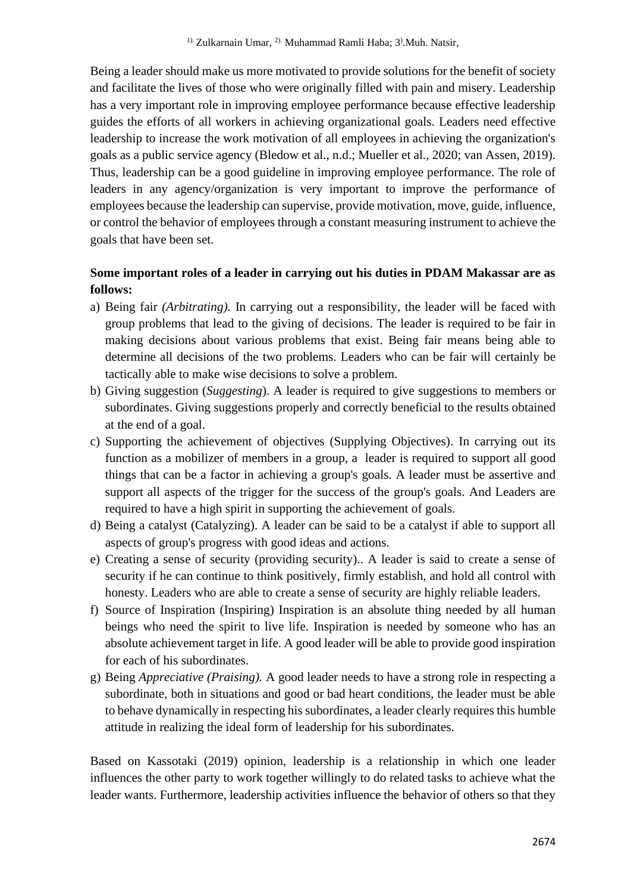Being a leader should make us more motivated to provide solutions for the benefit of society and facilitate the lives of those who were originally filled with pain and misery. Leadership has a very important role in improving employee performance because effective leadership guides the efforts of all workers in achieving organizational goals. Leaders need effective leadership to increase the work motivation of all employees in achieving the organization's goals as a public service agency (Bledow et al., n.d.; Mueller et al., 2020; van Assen, 2019). Thus, leadership can be a good guideline in improving employee performance. The role of leaders in any agency/organization is very important to improve the performance of employees because the leadership can supervise, provide motivation, move, guide, influence, or control the behavior of employees through a constant measuring instrument to achieve the goals that have been set.

# **Some important roles of a leader in carrying out his duties in PDAM Makassar are as follows:**

- a) Being fair *(Arbitrating).* In carrying out a responsibility, the leader will be faced with group problems that lead to the giving of decisions. The leader is required to be fair in making decisions about various problems that exist. Being fair means being able to determine all decisions of the two problems. Leaders who can be fair will certainly be tactically able to make wise decisions to solve a problem.
- b) Giving suggestion (*Suggesting*). A leader is required to give suggestions to members or subordinates. Giving suggestions properly and correctly beneficial to the results obtained at the end of a goal.
- c) Supporting the achievement of objectives (Supplying Objectives). In carrying out its function as a mobilizer of members in a group, a [leader](http://abiummi.com/4-karakter-pemimpin-rasulullah-yang-wajib-ditiru/) is required to support all good things that can be a factor in achieving a group's goals. A leader must be assertive and support all aspects of the trigger for the success of the group's goals. And Leaders are required to have a high spirit in supporting the achievement of goals.
- d) Being a catalyst (Catalyzing). A leader can be said to be a catalyst if able to support all aspects of group's progress with good ideas and actions.
- e) Creating a sense of security (providing security).. A leader is said to create a sense of security if he can continue to think positively, firmly establish, and hold all control with honesty. Leaders who are able to create a sense of security are highly reliable leaders.
- f) Source of Inspiration (Inspiring) Inspiration is an absolute thing needed by all human beings who need the spirit to live life. Inspiration is needed by someone who has an absolute achievement target in life. A good leader will be able to provide good inspiration for each of his subordinates.
- g) Being *Appreciative (Praising).* A good leader needs to have a strong role in respecting a subordinate, both in situations and good or bad heart conditions, the leader must be able to behave dynamically in respecting his subordinates, a leader clearly requires this humble attitude in realizing the ideal form of leadership for his subordinates.

Based on Kassotaki (2019) opinion, leadership is a relationship in which one leader influences the other party to work together willingly to do related tasks to achieve what the leader wants. Furthermore, leadership activities influence the behavior of others so that they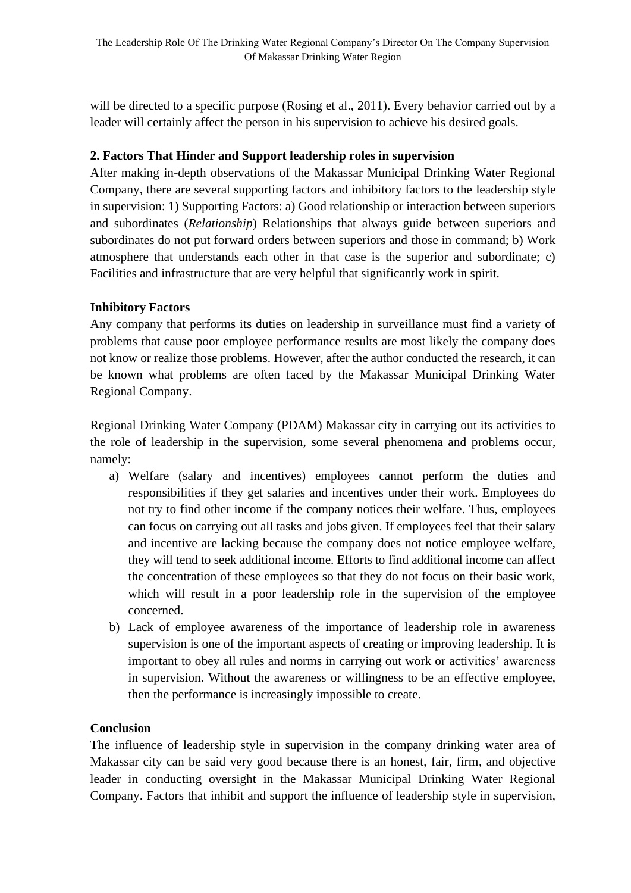will be directed to a specific purpose (Rosing et al., 2011). Every behavior carried out by a leader will certainly affect the person in his supervision to achieve his desired goals.

## **2. Factors That Hinder and Support leadership roles in supervision**

After making in-depth observations of the Makassar Municipal Drinking Water Regional Company, there are several supporting factors and inhibitory factors to the leadership style in supervision: 1) Supporting Factors: a) Good relationship or interaction between superiors and subordinates (*Relationship*) Relationships that always guide between superiors and subordinates do not put forward orders between superiors and those in command; b) Work atmosphere that understands each other in that case is the superior and subordinate; c) Facilities and infrastructure that are very helpful that significantly work in spirit.

## **Inhibitory Factors**

Any company that performs its duties on leadership in surveillance must find a variety of problems that cause poor employee performance results are most likely the company does not know or realize those problems. However, after the author conducted the research, it can be known what problems are often faced by the Makassar Municipal Drinking Water Regional Company.

Regional Drinking Water Company (PDAM) Makassar city in carrying out its activities to the role of leadership in the supervision, some several phenomena and problems occur, namely:

- a) Welfare (salary and incentives) employees cannot perform the duties and responsibilities if they get salaries and incentives under their work. Employees do not try to find other income if the company notices their welfare. Thus, employees can focus on carrying out all tasks and jobs given. If employees feel that their salary and incentive are lacking because the company does not notice employee welfare, they will tend to seek additional income. Efforts to find additional income can affect the concentration of these employees so that they do not focus on their basic work, which will result in a poor leadership role in the supervision of the employee concerned.
- b) Lack of employee awareness of the importance of leadership role in awareness supervision is one of the important aspects of creating or improving leadership. It is important to obey all rules and norms in carrying out work or activities' awareness in supervision. Without the awareness or willingness to be an effective employee, then the performance is increasingly impossible to create.

# **Conclusion**

The influence of leadership style in supervision in the company drinking water area of Makassar city can be said very good because there is an honest, fair, firm, and objective leader in conducting oversight in the Makassar Municipal Drinking Water Regional Company. Factors that inhibit and support the influence of leadership style in supervision,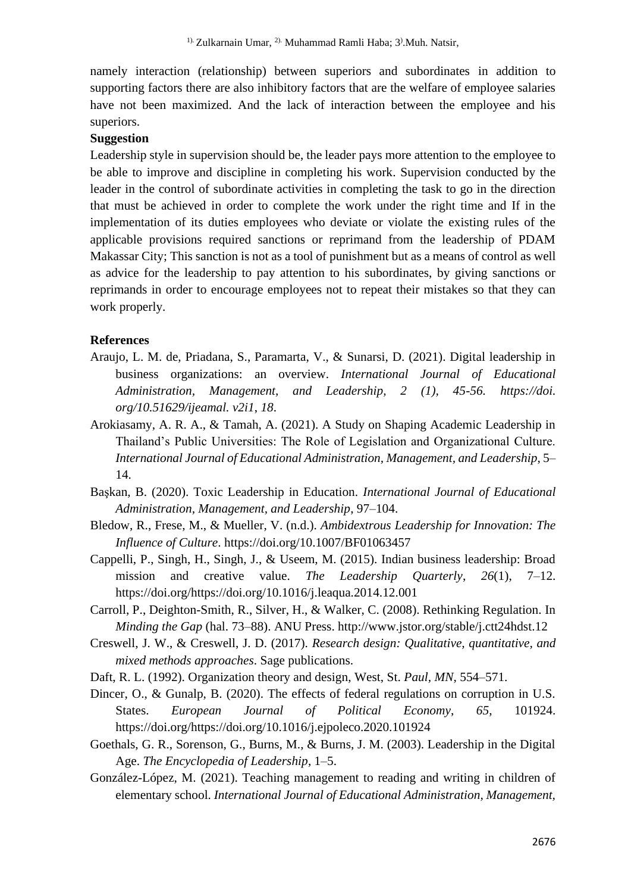namely interaction (relationship) between superiors and subordinates in addition to supporting factors there are also inhibitory factors that are the welfare of employee salaries have not been maximized. And the lack of interaction between the employee and his superiors.

#### **Suggestion**

Leadership style in supervision should be, the leader pays more attention to the employee to be able to improve and discipline in completing his work. Supervision conducted by the leader in the control of subordinate activities in completing the task to go in the direction that must be achieved in order to complete the work under the right time and If in the implementation of its duties employees who deviate or violate the existing rules of the applicable provisions required sanctions or reprimand from the leadership of PDAM Makassar City; This sanction is not as a tool of punishment but as a means of control as well as advice for the leadership to pay attention to his subordinates, by giving sanctions or reprimands in order to encourage employees not to repeat their mistakes so that they can work properly.

#### **References**

- Araujo, L. M. de, Priadana, S., Paramarta, V., & Sunarsi, D. (2021). Digital leadership in business organizations: an overview. *International Journal of Educational Administration, Management, and Leadership, 2 (1), 45-56. https://doi. org/10.51629/ijeamal. v2i1*, *18*.
- Arokiasamy, A. R. A., & Tamah, A. (2021). A Study on Shaping Academic Leadership in Thailand's Public Universities: The Role of Legislation and Organizational Culture. *International Journal of Educational Administration, Management, and Leadership*, 5– 14.
- Başkan, B. (2020). Toxic Leadership in Education. *International Journal of Educational Administration, Management, and Leadership*, 97–104.
- Bledow, R., Frese, M., & Mueller, V. (n.d.). *Ambidextrous Leadership for Innovation: The Influence of Culture*. https://doi.org/10.1007/BF01063457
- Cappelli, P., Singh, H., Singh, J., & Useem, M. (2015). Indian business leadership: Broad mission and creative value. *The Leadership Quarterly*, *26*(1), 7–12. https://doi.org/https://doi.org/10.1016/j.leaqua.2014.12.001
- Carroll, P., Deighton-Smith, R., Silver, H., & Walker, C. (2008). Rethinking Regulation. In *Minding the Gap* (hal. 73–88). ANU Press. http://www.jstor.org/stable/j.ctt24hdst.12
- Creswell, J. W., & Creswell, J. D. (2017). *Research design: Qualitative, quantitative, and mixed methods approaches*. Sage publications.
- Daft, R. L. (1992). Organization theory and design, West, St. *Paul, MN*, 554–571.
- Dincer, O., & Gunalp, B. (2020). The effects of federal regulations on corruption in U.S. States. *European Journal of Political Economy*, *65*, 101924. https://doi.org/https://doi.org/10.1016/j.ejpoleco.2020.101924
- Goethals, G. R., Sorenson, G., Burns, M., & Burns, J. M. (2003). Leadership in the Digital Age. *The Encyclopedia of Leadership*, 1–5.
- González-López, M. (2021). Teaching management to reading and writing in children of elementary school. *International Journal of Educational Administration, Management,*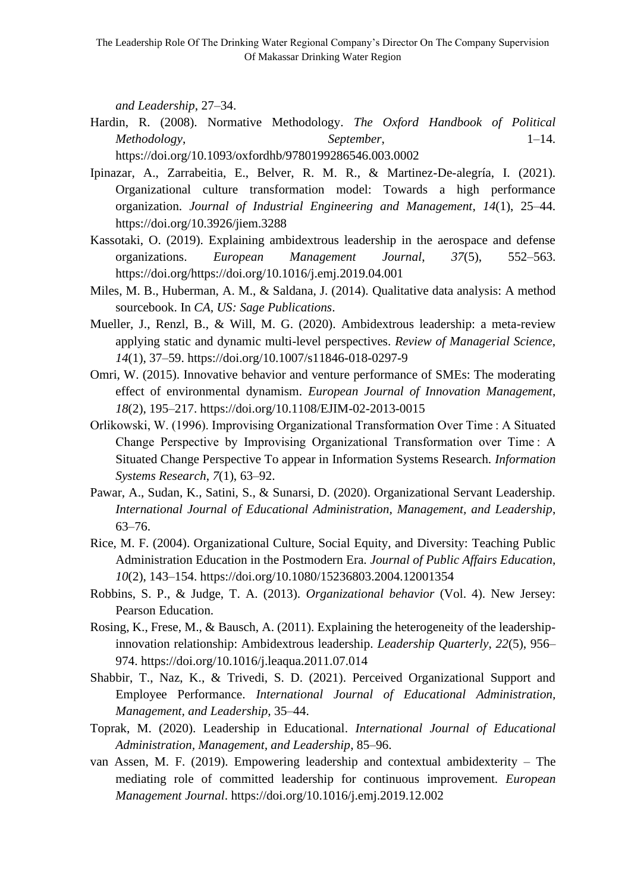*and Leadership*, 27–34.

- Hardin, R. (2008). Normative Methodology. *The Oxford Handbook of Political Methodology*, *September*, 1–14. https://doi.org/10.1093/oxfordhb/9780199286546.003.0002
- Ipinazar, A., Zarrabeitia, E., Belver, R. M. R., & Martinez-De-alegría, I. (2021). Organizational culture transformation model: Towards a high performance organization. *Journal of Industrial Engineering and Management*, *14*(1), 25–44. https://doi.org/10.3926/jiem.3288
- Kassotaki, O. (2019). Explaining ambidextrous leadership in the aerospace and defense organizations. *European Management Journal*, *37*(5), 552–563. https://doi.org/https://doi.org/10.1016/j.emj.2019.04.001
- Miles, M. B., Huberman, A. M., & Saldana, J. (2014). Qualitative data analysis: A method sourcebook. In *CA, US: Sage Publications*.
- Mueller, J., Renzl, B., & Will, M. G. (2020). Ambidextrous leadership: a meta-review applying static and dynamic multi-level perspectives. *Review of Managerial Science*, *14*(1), 37–59. https://doi.org/10.1007/s11846-018-0297-9
- Omri, W. (2015). Innovative behavior and venture performance of SMEs: The moderating effect of environmental dynamism. *European Journal of Innovation Management*, *18*(2), 195–217. https://doi.org/10.1108/EJIM-02-2013-0015
- Orlikowski, W. (1996). Improvising Organizational Transformation Over Time : A Situated Change Perspective by Improvising Organizational Transformation over Time : A Situated Change Perspective To appear in Information Systems Research. *Information Systems Research*, *7*(1), 63–92.
- Pawar, A., Sudan, K., Satini, S., & Sunarsi, D. (2020). Organizational Servant Leadership. *International Journal of Educational Administration, Management, and Leadership*, 63–76.
- Rice, M. F. (2004). Organizational Culture, Social Equity, and Diversity: Teaching Public Administration Education in the Postmodern Era. *Journal of Public Affairs Education*, *10*(2), 143–154. https://doi.org/10.1080/15236803.2004.12001354
- Robbins, S. P., & Judge, T. A. (2013). *Organizational behavior* (Vol. 4). New Jersey: Pearson Education.
- Rosing, K., Frese, M., & Bausch, A. (2011). Explaining the heterogeneity of the leadershipinnovation relationship: Ambidextrous leadership. *Leadership Quarterly*, *22*(5), 956– 974. https://doi.org/10.1016/j.leaqua.2011.07.014
- Shabbir, T., Naz, K., & Trivedi, S. D. (2021). Perceived Organizational Support and Employee Performance. *International Journal of Educational Administration, Management, and Leadership*, 35–44.
- Toprak, M. (2020). Leadership in Educational. *International Journal of Educational Administration, Management, and Leadership*, 85–96.
- van Assen, M. F. (2019). Empowering leadership and contextual ambidexterity The mediating role of committed leadership for continuous improvement. *European Management Journal*. https://doi.org/10.1016/j.emj.2019.12.002